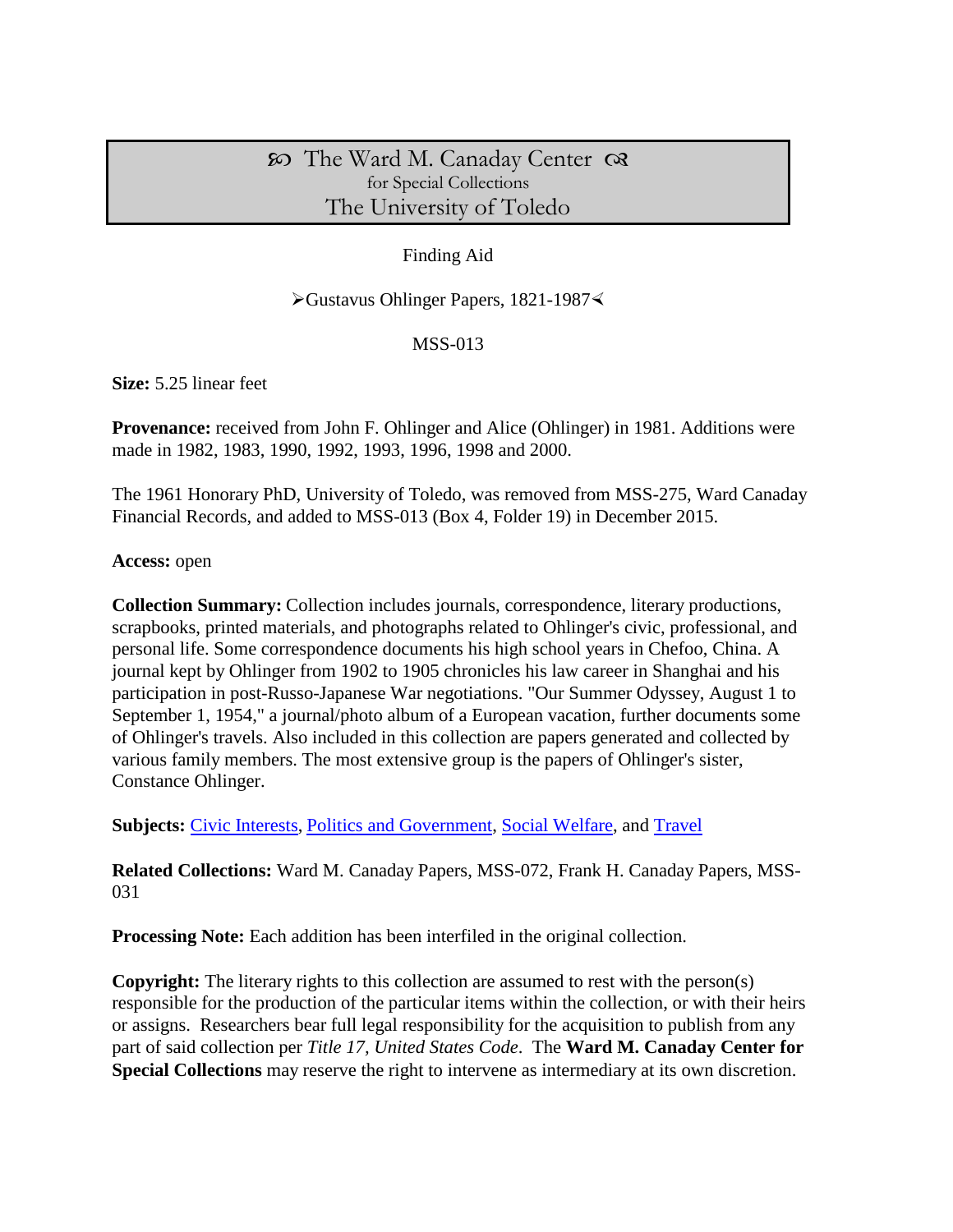# The Ward M. Canaday Center for Special Collections The University of Toledo

# Finding Aid

#### ≻Gustavus Ohlinger Papers, 1821-1987≺

#### MSS-013

**Size:** 5.25 linear feet

**Provenance:** received from John F. Ohlinger and Alice (Ohlinger) in 1981. Additions were made in 1982, 1983, 1990, 1992, 1993, 1996, 1998 and 2000.

The 1961 Honorary PhD, University of Toledo, was removed from MSS-275, Ward Canaday Financial Records, and added to MSS-013 (Box 4, Folder 19) in December 2015.

**Access:** open

**Collection Summary:** Collection includes journals, correspondence, literary productions, scrapbooks, printed materials, and photographs related to Ohlinger's civic, professional, and personal life. Some correspondence documents his high school years in Chefoo, China. A journal kept by Ohlinger from 1902 to 1905 chronicles his law career in Shanghai and his participation in post-Russo-Japanese War negotiations. "Our Summer Odyssey, August 1 to September 1, 1954," a journal/photo album of a European vacation, further documents some of Ohlinger's travels. Also included in this collection are papers generated and collected by various family members. The most extensive group is the papers of Ohlinger's sister, Constance Ohlinger.

**Subjects:** [Civic Interests,](http://www.utoledo.edu/library/canaday/guidepages/civic.html) [Politics and Government,](http://www.utoledo.edu/library/canaday/guidepages/politics.html) [Social Welfare,](http://www.utoledo.edu/library/canaday/guidepages/swelfare.html) and [Travel](http://www.utoledo.edu/library/canaday/guidepages/travel.html)

**Related Collections:** Ward M. Canaday Papers, MSS-072, Frank H. Canaday Papers, MSS-031

**Processing Note:** Each addition has been interfiled in the original collection.

**Copyright:** The literary rights to this collection are assumed to rest with the person(s) responsible for the production of the particular items within the collection, or with their heirs or assigns. Researchers bear full legal responsibility for the acquisition to publish from any part of said collection per *Title 17, United States Code*. The **Ward M. Canaday Center for Special Collections** may reserve the right to intervene as intermediary at its own discretion.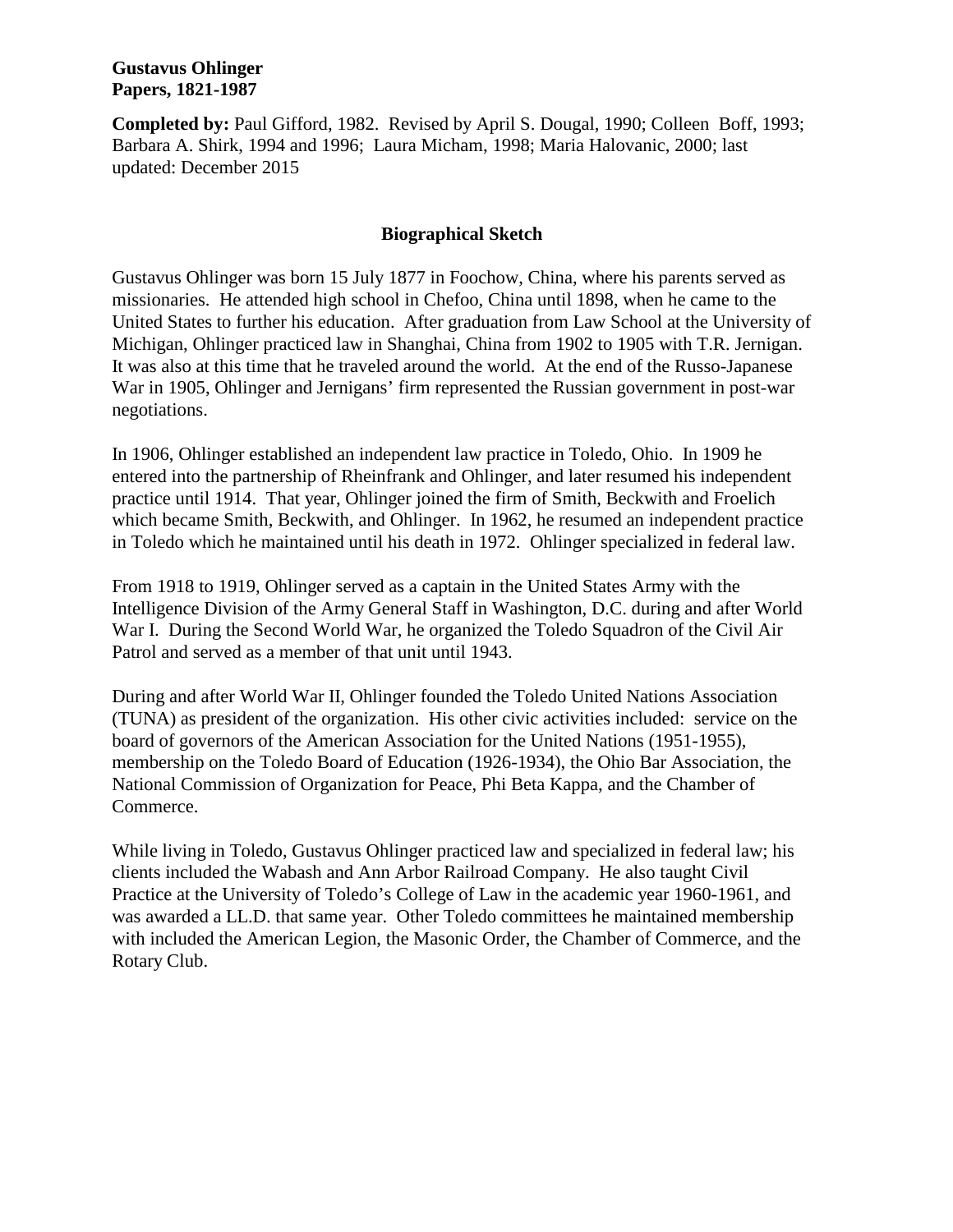**Completed by:** Paul Gifford, 1982. Revised by April S. Dougal, 1990; Colleen Boff, 1993; Barbara A. Shirk, 1994 and 1996; Laura Micham, 1998; Maria Halovanic, 2000; last updated: December 2015

#### **Biographical Sketch**

Gustavus Ohlinger was born 15 July 1877 in Foochow, China, where his parents served as missionaries. He attended high school in Chefoo, China until 1898, when he came to the United States to further his education. After graduation from Law School at the University of Michigan, Ohlinger practiced law in Shanghai, China from 1902 to 1905 with T.R. Jernigan. It was also at this time that he traveled around the world. At the end of the Russo-Japanese War in 1905, Ohlinger and Jernigans' firm represented the Russian government in post-war negotiations.

In 1906, Ohlinger established an independent law practice in Toledo, Ohio. In 1909 he entered into the partnership of Rheinfrank and Ohlinger, and later resumed his independent practice until 1914. That year, Ohlinger joined the firm of Smith, Beckwith and Froelich which became Smith, Beckwith, and Ohlinger. In 1962, he resumed an independent practice in Toledo which he maintained until his death in 1972. Ohlinger specialized in federal law.

From 1918 to 1919, Ohlinger served as a captain in the United States Army with the Intelligence Division of the Army General Staff in Washington, D.C. during and after World War I. During the Second World War, he organized the Toledo Squadron of the Civil Air Patrol and served as a member of that unit until 1943.

During and after World War II, Ohlinger founded the Toledo United Nations Association (TUNA) as president of the organization. His other civic activities included: service on the board of governors of the American Association for the United Nations (1951-1955), membership on the Toledo Board of Education (1926-1934), the Ohio Bar Association, the National Commission of Organization for Peace, Phi Beta Kappa, and the Chamber of Commerce.

While living in Toledo, Gustavus Ohlinger practiced law and specialized in federal law; his clients included the Wabash and Ann Arbor Railroad Company. He also taught Civil Practice at the University of Toledo's College of Law in the academic year 1960-1961, and was awarded a LL.D. that same year. Other Toledo committees he maintained membership with included the American Legion, the Masonic Order, the Chamber of Commerce, and the Rotary Club.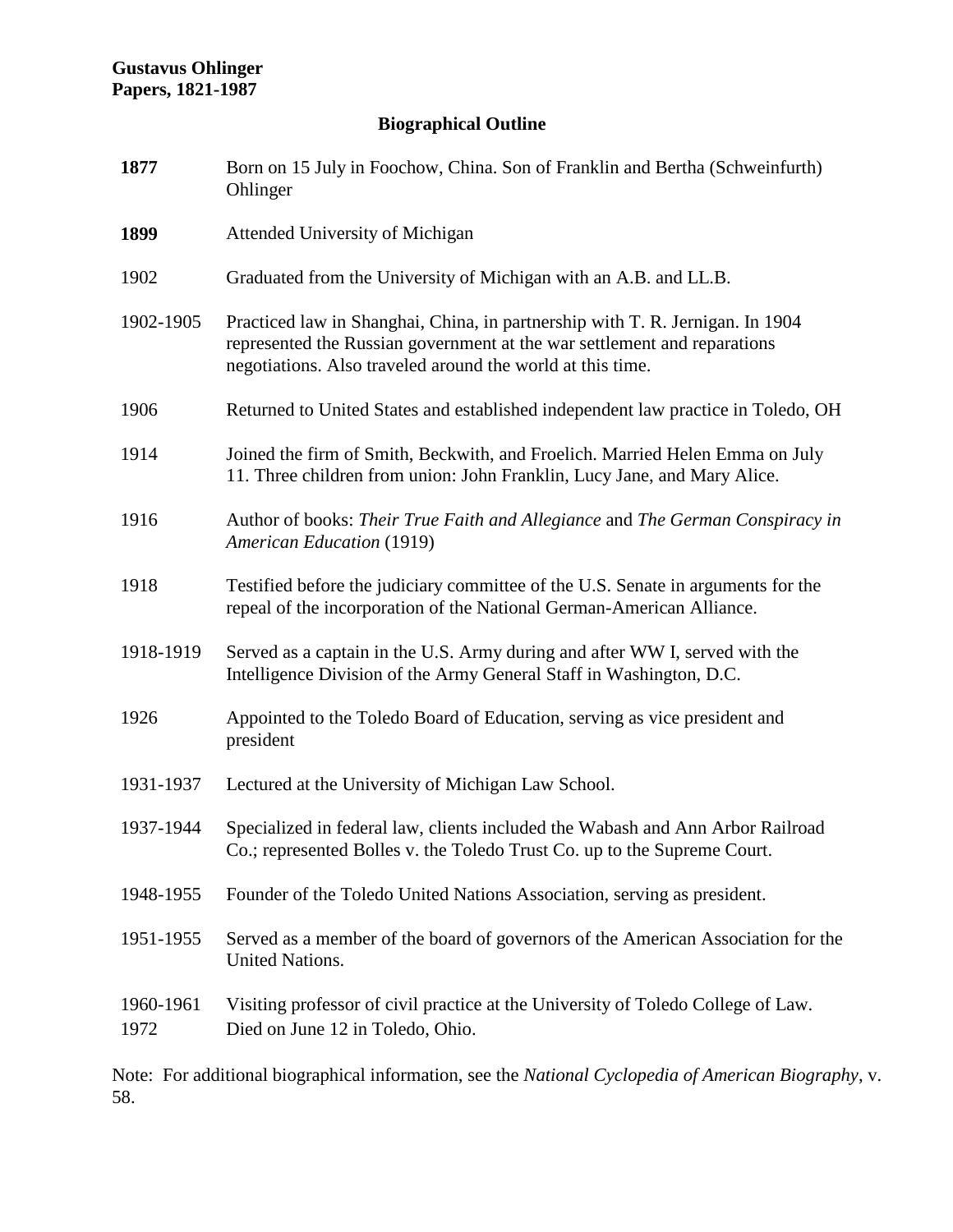# **Biographical Outline**

| 1877              | Born on 15 July in Foochow, China. Son of Franklin and Bertha (Schweinfurth)<br>Ohlinger                                                                                                                                |
|-------------------|-------------------------------------------------------------------------------------------------------------------------------------------------------------------------------------------------------------------------|
| 1899              | Attended University of Michigan                                                                                                                                                                                         |
| 1902              | Graduated from the University of Michigan with an A.B. and LL.B.                                                                                                                                                        |
| 1902-1905         | Practiced law in Shanghai, China, in partnership with T. R. Jernigan. In 1904<br>represented the Russian government at the war settlement and reparations<br>negotiations. Also traveled around the world at this time. |
| 1906              | Returned to United States and established independent law practice in Toledo, OH                                                                                                                                        |
| 1914              | Joined the firm of Smith, Beckwith, and Froelich. Married Helen Emma on July<br>11. Three children from union: John Franklin, Lucy Jane, and Mary Alice.                                                                |
| 1916              | Author of books: Their True Faith and Allegiance and The German Conspiracy in<br><b>American Education (1919)</b>                                                                                                       |
| 1918              | Testified before the judiciary committee of the U.S. Senate in arguments for the<br>repeal of the incorporation of the National German-American Alliance.                                                               |
| 1918-1919         | Served as a captain in the U.S. Army during and after WW I, served with the<br>Intelligence Division of the Army General Staff in Washington, D.C.                                                                      |
| 1926              | Appointed to the Toledo Board of Education, serving as vice president and<br>president                                                                                                                                  |
| 1931-1937         | Lectured at the University of Michigan Law School.                                                                                                                                                                      |
| 1937-1944         | Specialized in federal law, clients included the Wabash and Ann Arbor Railroad<br>Co.; represented Bolles v. the Toledo Trust Co. up to the Supreme Court.                                                              |
| 1948-1955         | Founder of the Toledo United Nations Association, serving as president.                                                                                                                                                 |
| 1951-1955         | Served as a member of the board of governors of the American Association for the<br><b>United Nations.</b>                                                                                                              |
| 1960-1961<br>1972 | Visiting professor of civil practice at the University of Toledo College of Law.<br>Died on June 12 in Toledo, Ohio.                                                                                                    |

Note: For additional biographical information, see the *National Cyclopedia of American Biography*, v. 58.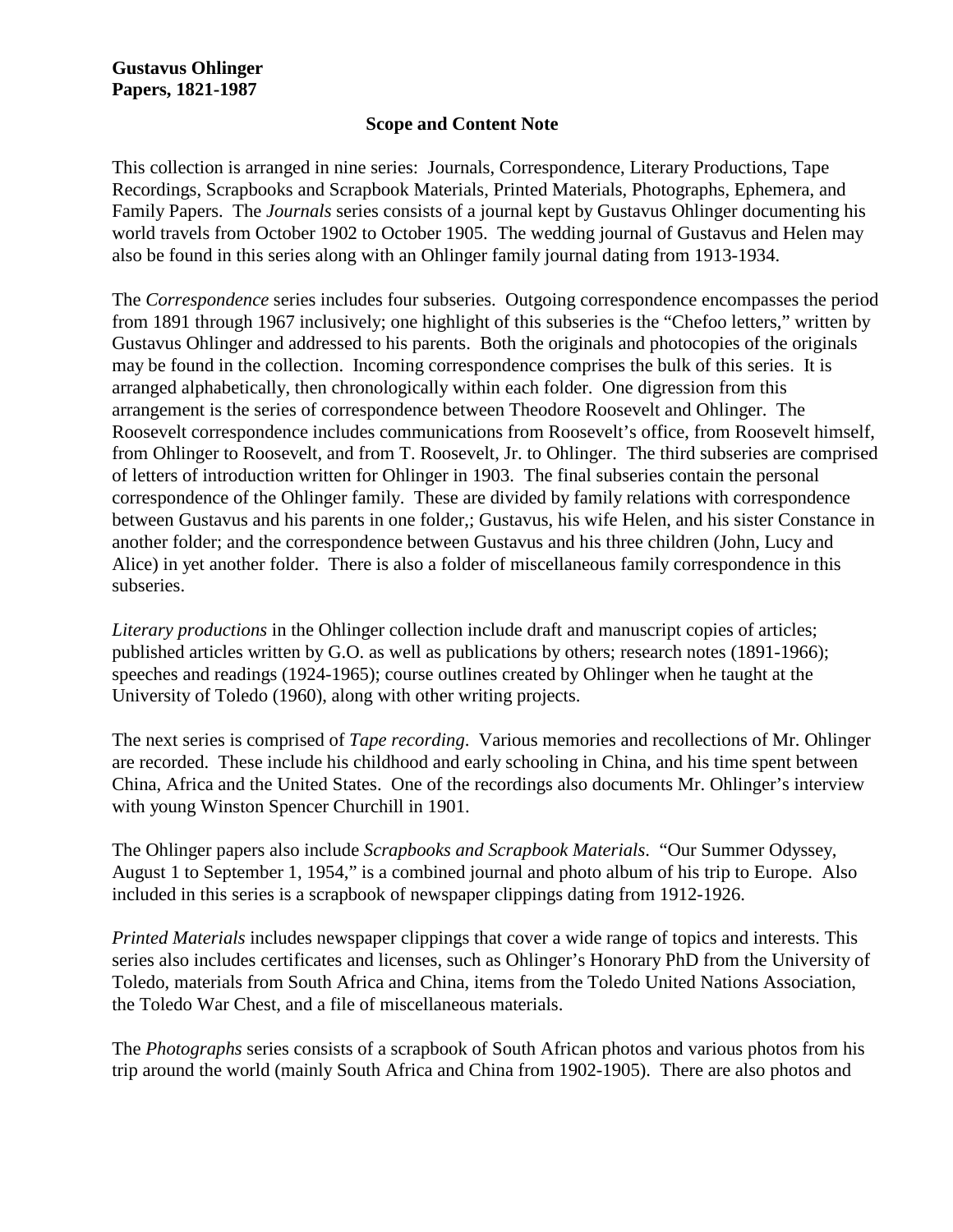#### **Scope and Content Note**

This collection is arranged in nine series: Journals, Correspondence, Literary Productions, Tape Recordings, Scrapbooks and Scrapbook Materials, Printed Materials, Photographs, Ephemera, and Family Papers. The *Journals* series consists of a journal kept by Gustavus Ohlinger documenting his world travels from October 1902 to October 1905. The wedding journal of Gustavus and Helen may also be found in this series along with an Ohlinger family journal dating from 1913-1934.

The *Correspondence* series includes four subseries. Outgoing correspondence encompasses the period from 1891 through 1967 inclusively; one highlight of this subseries is the "Chefoo letters," written by Gustavus Ohlinger and addressed to his parents. Both the originals and photocopies of the originals may be found in the collection. Incoming correspondence comprises the bulk of this series. It is arranged alphabetically, then chronologically within each folder. One digression from this arrangement is the series of correspondence between Theodore Roosevelt and Ohlinger. The Roosevelt correspondence includes communications from Roosevelt's office, from Roosevelt himself, from Ohlinger to Roosevelt, and from T. Roosevelt, Jr. to Ohlinger. The third subseries are comprised of letters of introduction written for Ohlinger in 1903. The final subseries contain the personal correspondence of the Ohlinger family. These are divided by family relations with correspondence between Gustavus and his parents in one folder,; Gustavus, his wife Helen, and his sister Constance in another folder; and the correspondence between Gustavus and his three children (John, Lucy and Alice) in yet another folder. There is also a folder of miscellaneous family correspondence in this subseries.

*Literary productions* in the Ohlinger collection include draft and manuscript copies of articles; published articles written by G.O. as well as publications by others; research notes (1891-1966); speeches and readings (1924-1965); course outlines created by Ohlinger when he taught at the University of Toledo (1960), along with other writing projects.

The next series is comprised of *Tape recording*. Various memories and recollections of Mr. Ohlinger are recorded. These include his childhood and early schooling in China, and his time spent between China, Africa and the United States. One of the recordings also documents Mr. Ohlinger's interview with young Winston Spencer Churchill in 1901.

The Ohlinger papers also include *Scrapbooks and Scrapbook Materials*. "Our Summer Odyssey, August 1 to September 1, 1954," is a combined journal and photo album of his trip to Europe. Also included in this series is a scrapbook of newspaper clippings dating from 1912-1926.

*Printed Materials* includes newspaper clippings that cover a wide range of topics and interests. This series also includes certificates and licenses, such as Ohlinger's Honorary PhD from the University of Toledo, materials from South Africa and China, items from the Toledo United Nations Association, the Toledo War Chest, and a file of miscellaneous materials.

The *Photographs* series consists of a scrapbook of South African photos and various photos from his trip around the world (mainly South Africa and China from 1902-1905). There are also photos and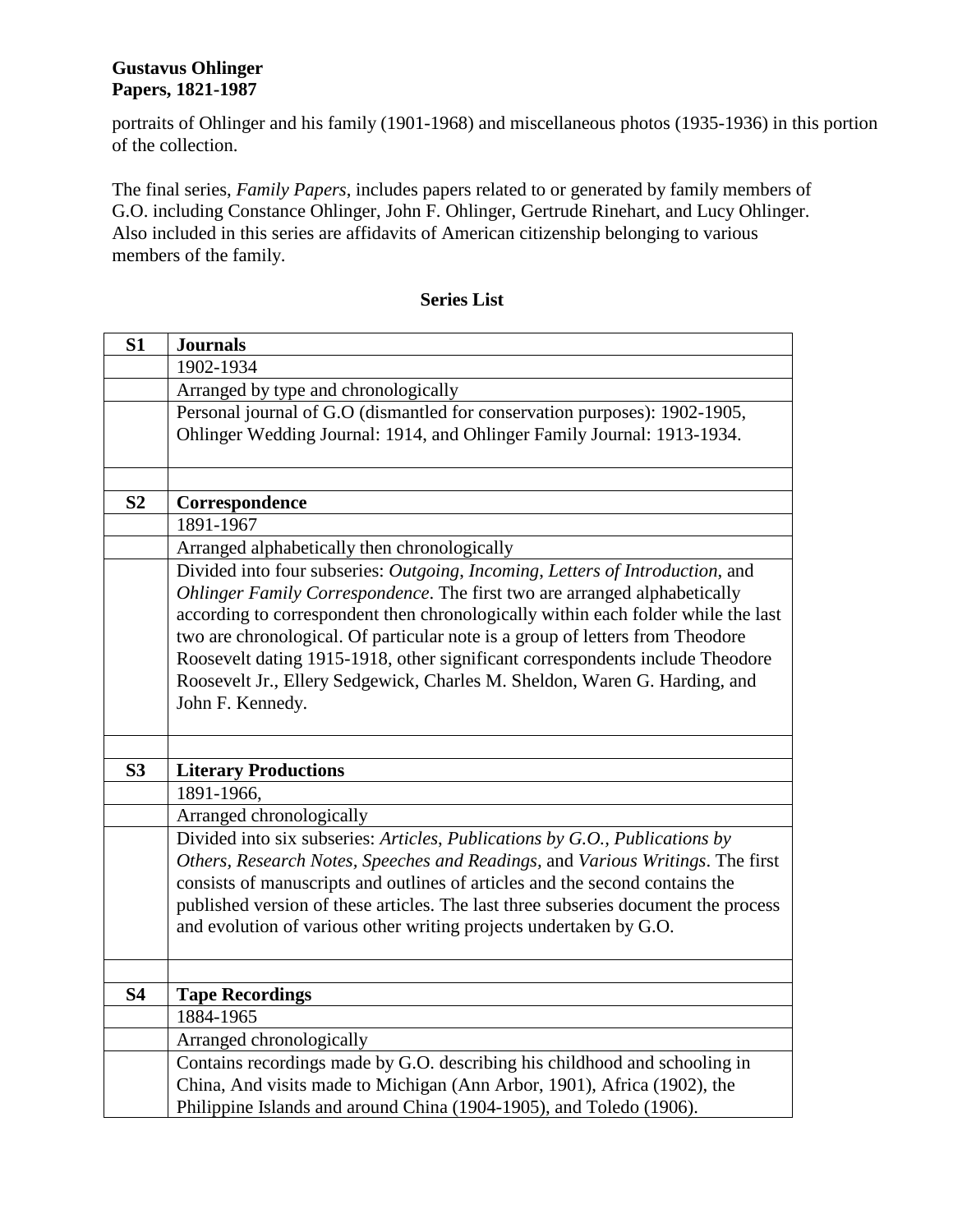portraits of Ohlinger and his family (1901-1968) and miscellaneous photos (1935-1936) in this portion of the collection.

The final series, *Family Papers*, includes papers related to or generated by family members of G.O. including Constance Ohlinger, John F. Ohlinger, Gertrude Rinehart, and Lucy Ohlinger. Also included in this series are affidavits of American citizenship belonging to various members of the family.

# **S1 Journals** 1902-1934 Arranged by type and chronologically Personal journal of G.O (dismantled for conservation purposes): 1902-1905, Ohlinger Wedding Journal: 1914, and Ohlinger Family Journal: 1913-1934. **S2 Correspondence** 1891-1967 Arranged alphabetically then chronologically Divided into four subseries: *Outgoing*, *Incoming*, *Letters of Introduction*, and *Ohlinger Family Correspondence*. The first two are arranged alphabetically according to correspondent then chronologically within each folder while the last two are chronological. Of particular note is a group of letters from Theodore Roosevelt dating 1915-1918, other significant correspondents include Theodore Roosevelt Jr., Ellery Sedgewick, Charles M. Sheldon, Waren G. Harding, and John F. Kennedy. **S3 Literary Productions** 1891-1966, Arranged chronologically Divided into six subseries: *Articles*, *Publications by G.O., Publications by Others, Research Notes, Speeches and Readings,* and *Various Writings*. The first consists of manuscripts and outlines of articles and the second contains the published version of these articles. The last three subseries document the process and evolution of various other writing projects undertaken by G.O. **S4 Tape Recordings** 1884-1965 Arranged chronologically Contains recordings made by G.O. describing his childhood and schooling in China, And visits made to Michigan (Ann Arbor, 1901), Africa (1902), the Philippine Islands and around China (1904-1905), and Toledo (1906).

#### **Series List**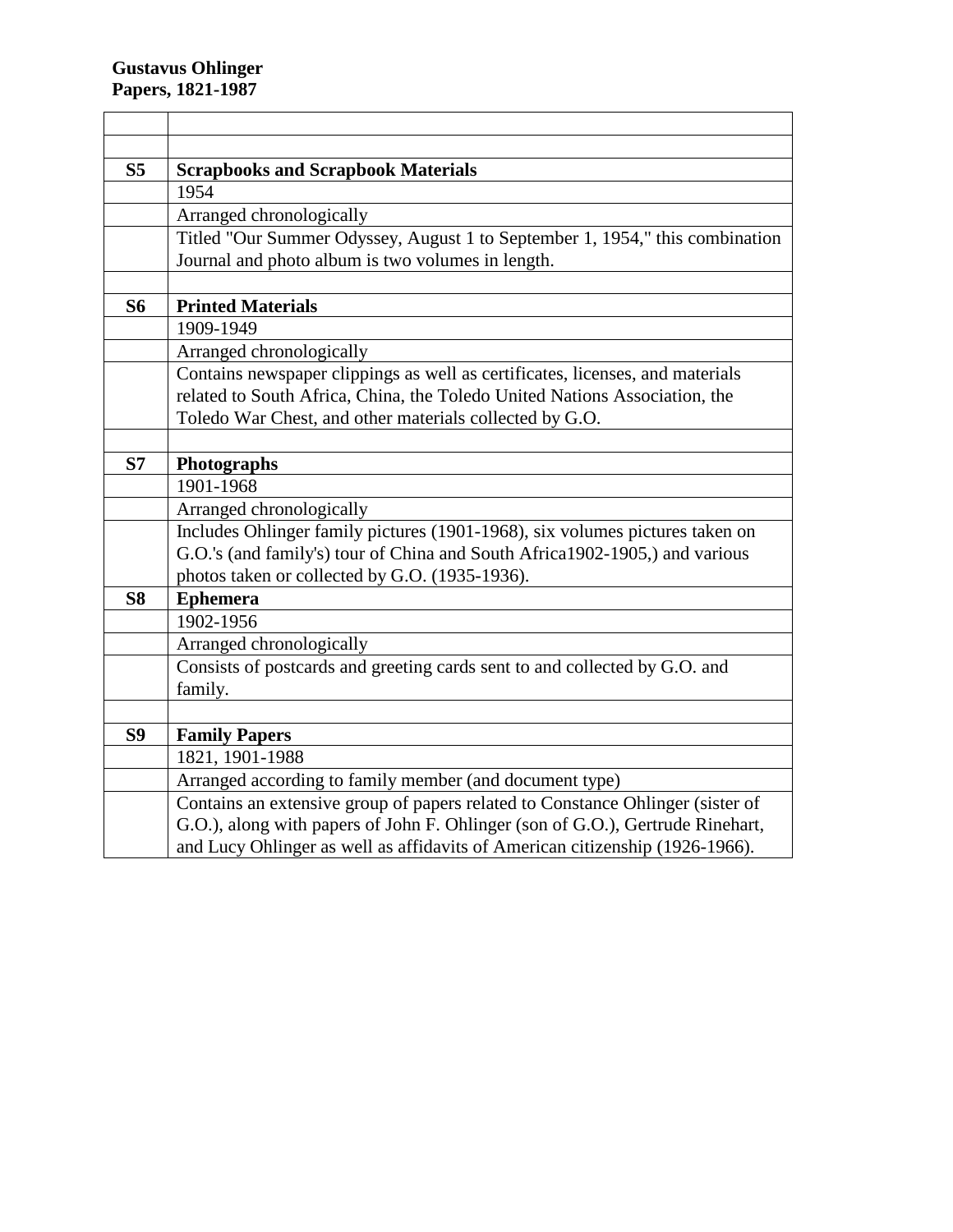| S <sub>5</sub> | <b>Scrapbooks and Scrapbook Materials</b>                                      |  |  |
|----------------|--------------------------------------------------------------------------------|--|--|
|                | 1954                                                                           |  |  |
|                | Arranged chronologically                                                       |  |  |
|                | Titled "Our Summer Odyssey, August 1 to September 1, 1954," this combination   |  |  |
|                | Journal and photo album is two volumes in length.                              |  |  |
|                |                                                                                |  |  |
| <b>S6</b>      | <b>Printed Materials</b>                                                       |  |  |
|                | 1909-1949                                                                      |  |  |
|                | Arranged chronologically                                                       |  |  |
|                | Contains newspaper clippings as well as certificates, licenses, and materials  |  |  |
|                | related to South Africa, China, the Toledo United Nations Association, the     |  |  |
|                | Toledo War Chest, and other materials collected by G.O.                        |  |  |
|                |                                                                                |  |  |
| S7             | Photographs                                                                    |  |  |
|                | 1901-1968                                                                      |  |  |
|                | Arranged chronologically                                                       |  |  |
|                | Includes Ohlinger family pictures (1901-1968), six volumes pictures taken on   |  |  |
|                | G.O.'s (and family's) tour of China and South Africa1902-1905,) and various    |  |  |
|                | photos taken or collected by G.O. (1935-1936).                                 |  |  |
| <b>S8</b>      | <b>Ephemera</b>                                                                |  |  |
|                | 1902-1956                                                                      |  |  |
|                | Arranged chronologically                                                       |  |  |
|                | Consists of postcards and greeting cards sent to and collected by G.O. and     |  |  |
|                | family.                                                                        |  |  |
|                |                                                                                |  |  |
| S9             | <b>Family Papers</b>                                                           |  |  |
|                | 1821, 1901-1988                                                                |  |  |
|                | Arranged according to family member (and document type)                        |  |  |
|                | Contains an extensive group of papers related to Constance Ohlinger (sister of |  |  |
|                | G.O.), along with papers of John F. Ohlinger (son of G.O.), Gertrude Rinehart, |  |  |
|                | and Lucy Ohlinger as well as affidavits of American citizenship (1926-1966).   |  |  |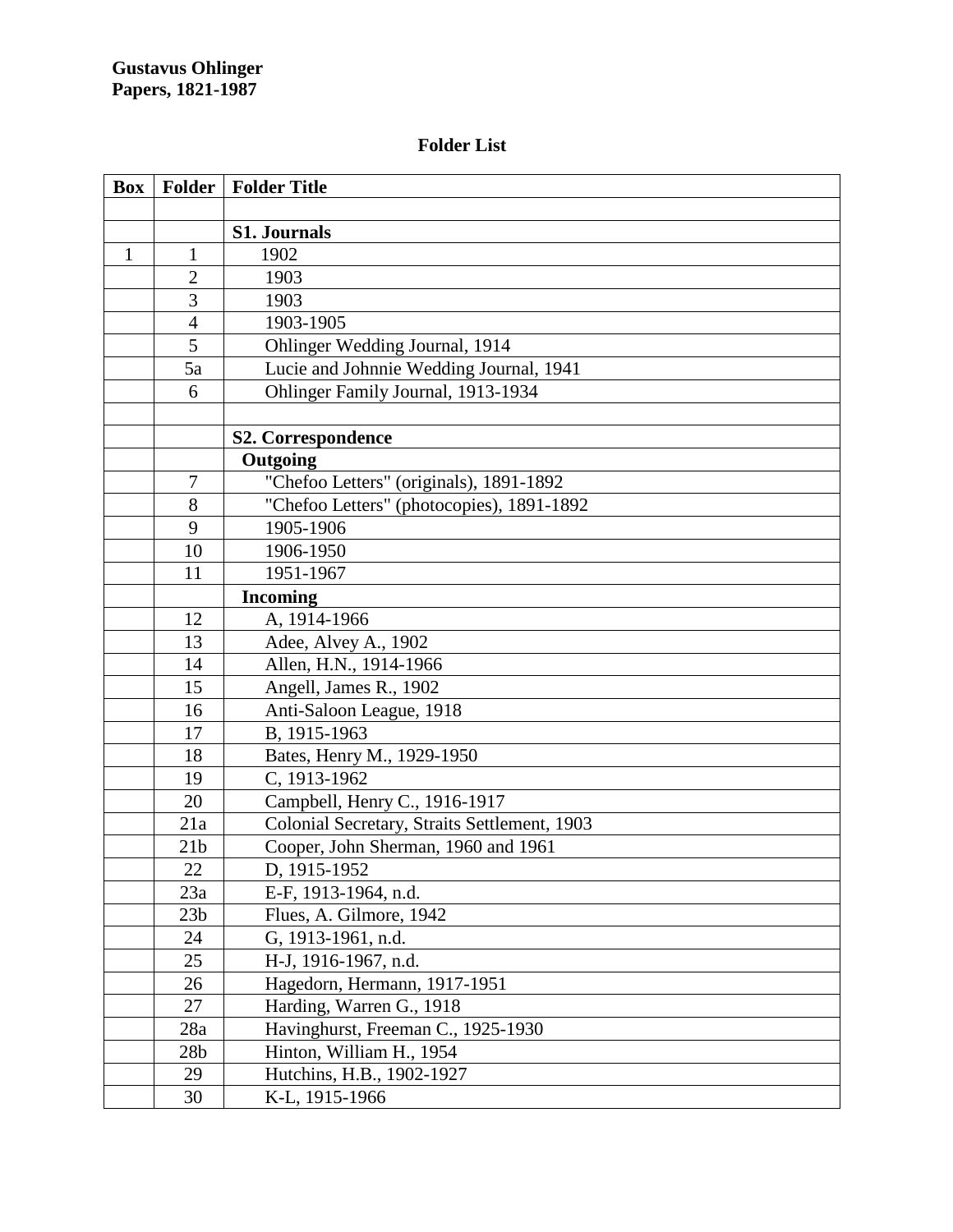# **Folder List**

| <b>Box</b>   | <b>Folder</b>   | <b>Folder Title</b>                          |
|--------------|-----------------|----------------------------------------------|
|              |                 |                                              |
|              |                 | <b>S1. Journals</b>                          |
| $\mathbf{1}$ | 1               | 1902                                         |
|              | $\overline{2}$  | 1903                                         |
|              | 3               | 1903                                         |
|              | $\overline{4}$  | 1903-1905                                    |
|              | 5               | Ohlinger Wedding Journal, 1914               |
|              | 5a              | Lucie and Johnnie Wedding Journal, 1941      |
|              | 6               | Ohlinger Family Journal, 1913-1934           |
|              |                 |                                              |
|              |                 | S2. Correspondence                           |
|              |                 | Outgoing                                     |
|              | $\tau$          | "Chefoo Letters" (originals), 1891-1892      |
|              | 8               | "Chefoo Letters" (photocopies), 1891-1892    |
|              | 9               | 1905-1906                                    |
|              | 10              | 1906-1950                                    |
|              | 11              | 1951-1967                                    |
|              |                 | <b>Incoming</b>                              |
|              | 12              | A, 1914-1966                                 |
|              | 13              | Adee, Alvey A., 1902                         |
|              | 14              | Allen, H.N., 1914-1966                       |
|              | 15              | Angell, James R., 1902                       |
|              | 16              | Anti-Saloon League, 1918                     |
|              | 17              | B, 1915-1963                                 |
|              | 18              | Bates, Henry M., 1929-1950                   |
|              | 19              | C, 1913-1962                                 |
|              | 20              | Campbell, Henry C., 1916-1917                |
|              | 21a             | Colonial Secretary, Straits Settlement, 1903 |
|              | 21 <sub>b</sub> | Cooper, John Sherman, 1960 and 1961          |
|              | 22              | D, 1915-1952                                 |
|              | 23a             | E-F, 1913-1964, n.d.                         |
|              | 23 <sub>b</sub> | Flues, A. Gilmore, 1942                      |
|              | 24              | G, 1913-1961, n.d.                           |
|              | 25              | H-J, 1916-1967, n.d.                         |
|              | 26              | Hagedorn, Hermann, 1917-1951                 |
|              | 27              | Harding, Warren G., 1918                     |
|              | 28a             | Havinghurst, Freeman C., 1925-1930           |
|              | 28 <sub>b</sub> | Hinton, William H., 1954                     |
|              | 29              | Hutchins, H.B., 1902-1927                    |
|              | 30              | K-L, 1915-1966                               |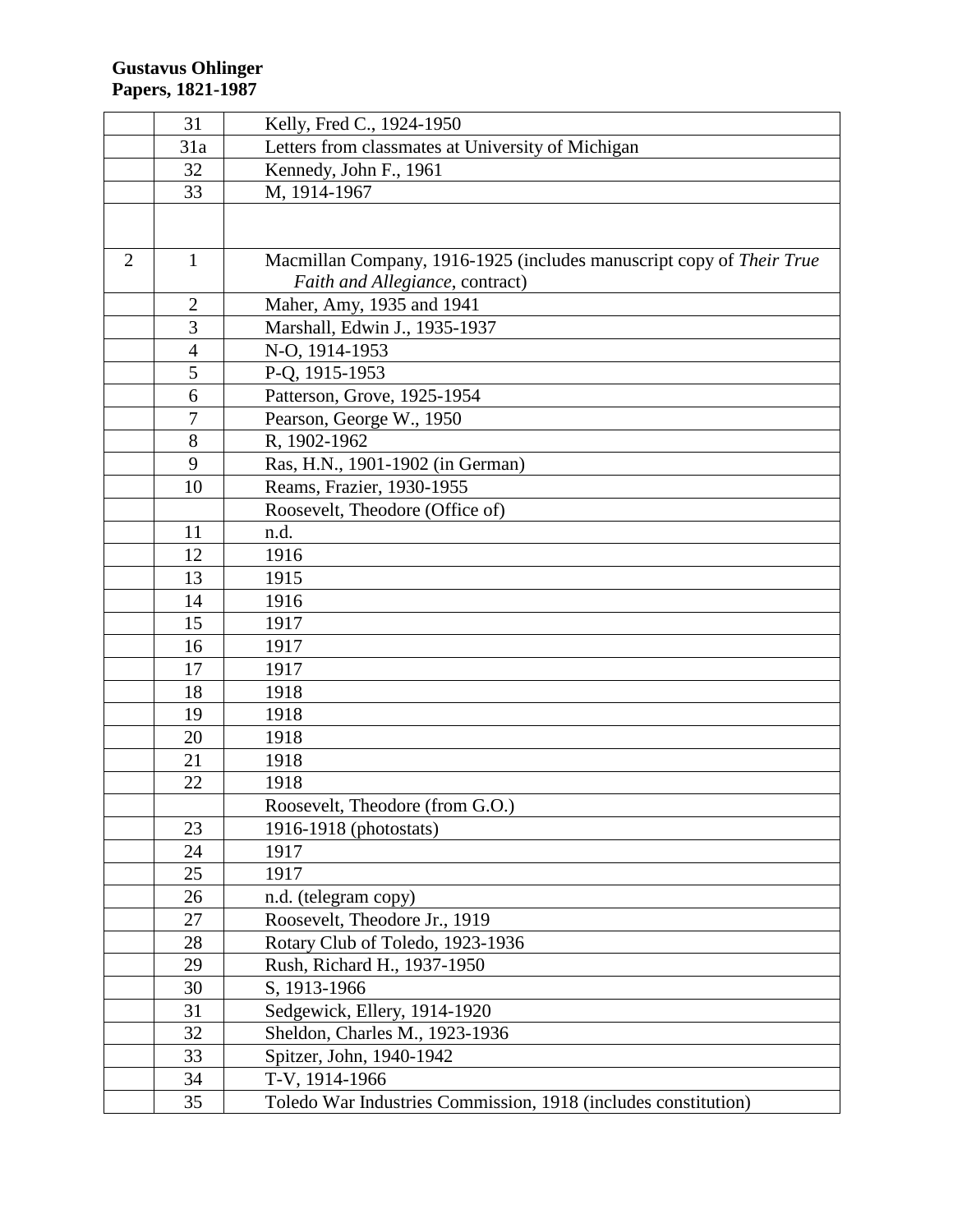|                | 31             | Kelly, Fred C., 1924-1950                                                                               |
|----------------|----------------|---------------------------------------------------------------------------------------------------------|
|                | 31a            | Letters from classmates at University of Michigan                                                       |
|                | 32             | Kennedy, John F., 1961                                                                                  |
|                | 33             | M, 1914-1967                                                                                            |
|                |                |                                                                                                         |
| $\overline{2}$ | $\mathbf{1}$   | Macmillan Company, 1916-1925 (includes manuscript copy of Their True<br>Faith and Allegiance, contract) |
|                | $\overline{2}$ | Maher, Amy, 1935 and 1941                                                                               |
|                | 3              | Marshall, Edwin J., 1935-1937                                                                           |
|                | $\overline{4}$ | N-O, 1914-1953                                                                                          |
|                | 5              | P-Q, 1915-1953                                                                                          |
|                | 6              | Patterson, Grove, 1925-1954                                                                             |
|                | $\overline{7}$ | Pearson, George W., 1950                                                                                |
|                | 8              | R, 1902-1962                                                                                            |
|                | 9              | Ras, H.N., 1901-1902 (in German)                                                                        |
|                | 10             | Reams, Frazier, 1930-1955                                                                               |
|                |                | Roosevelt, Theodore (Office of)                                                                         |
|                | 11             | n.d.                                                                                                    |
|                | 12             | 1916                                                                                                    |
|                | 13             | 1915                                                                                                    |
|                | 14             | 1916                                                                                                    |
|                | 15             | 1917                                                                                                    |
|                | 16             | 1917                                                                                                    |
|                | 17             | 1917                                                                                                    |
|                | 18             | 1918                                                                                                    |
|                | 19             | 1918                                                                                                    |
|                | 20             | 1918                                                                                                    |
|                | 21             | 1918                                                                                                    |
|                | 22             | 1918                                                                                                    |
|                |                | Roosevelt, Theodore (from G.O.)                                                                         |
|                | 23             | 1916-1918 (photostats)                                                                                  |
|                | 24             | 1917                                                                                                    |
|                | 25             | 1917                                                                                                    |
|                | 26             | n.d. (telegram copy)                                                                                    |
|                | 27             | Roosevelt, Theodore Jr., 1919                                                                           |
|                | 28             | Rotary Club of Toledo, 1923-1936                                                                        |
|                | 29             | Rush, Richard H., 1937-1950                                                                             |
|                | 30             | S, 1913-1966                                                                                            |
|                | 31             | Sedgewick, Ellery, 1914-1920                                                                            |
|                | 32             | Sheldon, Charles M., 1923-1936                                                                          |
|                | 33             | Spitzer, John, 1940-1942                                                                                |
|                | 34             | T-V, 1914-1966                                                                                          |
|                | 35             | Toledo War Industries Commission, 1918 (includes constitution)                                          |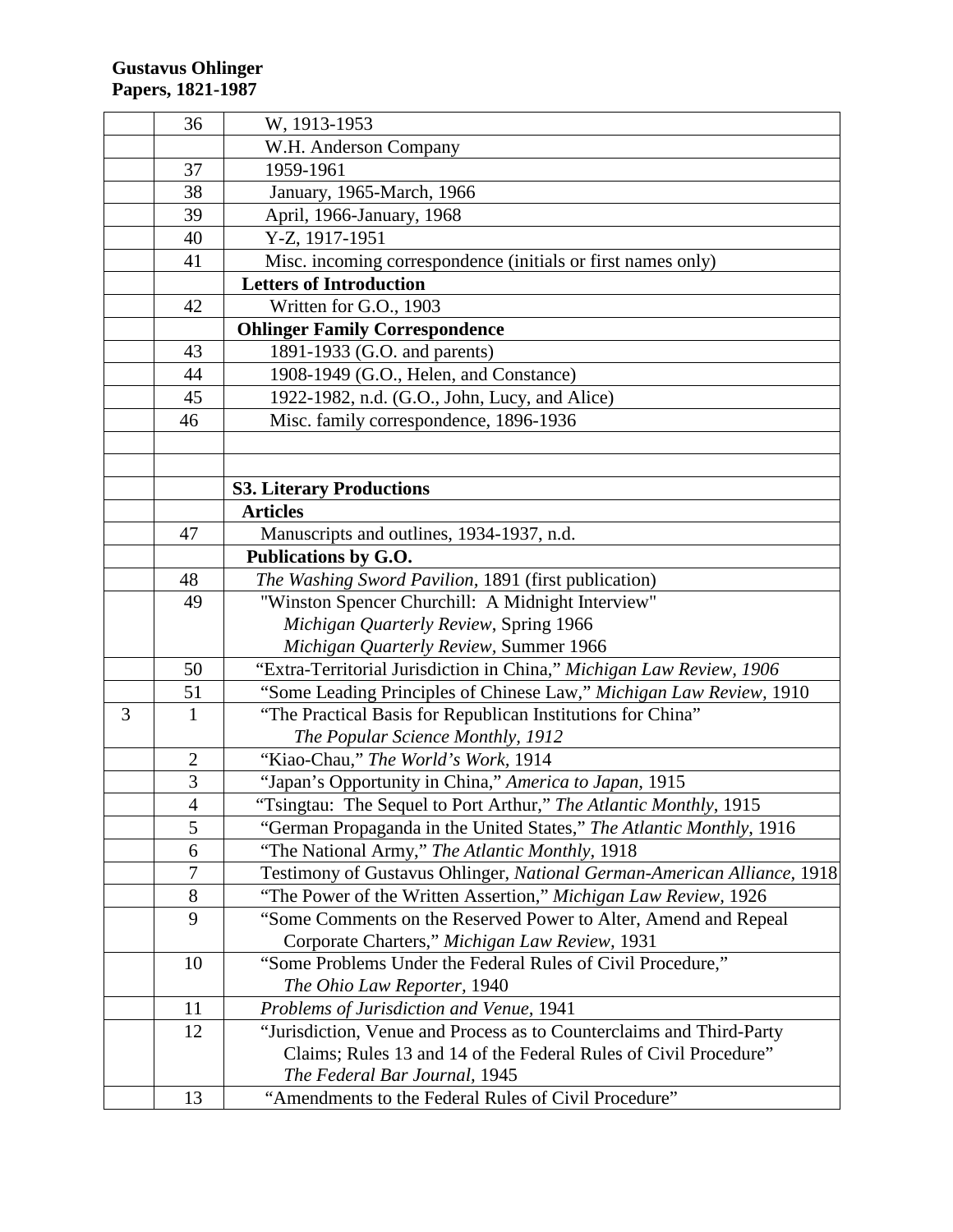|   | 36             | W, 1913-1953                                                            |
|---|----------------|-------------------------------------------------------------------------|
|   |                | W.H. Anderson Company                                                   |
|   | 37             | 1959-1961                                                               |
|   | 38             | January, 1965-March, 1966                                               |
|   | 39             | April, 1966-January, 1968                                               |
|   | 40             | Y-Z, 1917-1951                                                          |
|   | 41             | Misc. incoming correspondence (initials or first names only)            |
|   |                | <b>Letters of Introduction</b>                                          |
|   | 42             | Written for G.O., 1903                                                  |
|   |                | <b>Ohlinger Family Correspondence</b>                                   |
|   | 43             | 1891-1933 (G.O. and parents)                                            |
|   | 44             | 1908-1949 (G.O., Helen, and Constance)                                  |
|   | 45             | 1922-1982, n.d. (G.O., John, Lucy, and Alice)                           |
|   | 46             | Misc. family correspondence, 1896-1936                                  |
|   |                |                                                                         |
|   |                |                                                                         |
|   |                | <b>S3. Literary Productions</b>                                         |
|   |                | <b>Articles</b>                                                         |
|   | 47             | Manuscripts and outlines, 1934-1937, n.d.                               |
|   |                | Publications by G.O.                                                    |
|   | 48             | The Washing Sword Pavilion, 1891 (first publication)                    |
|   | 49             | "Winston Spencer Churchill: A Midnight Interview"                       |
|   |                | Michigan Quarterly Review, Spring 1966                                  |
|   |                | Michigan Quarterly Review, Summer 1966                                  |
|   | 50             | "Extra-Territorial Jurisdiction in China," Michigan Law Review, 1906    |
|   | 51             | "Some Leading Principles of Chinese Law," Michigan Law Review, 1910     |
| 3 | $\mathbf{1}$   | "The Practical Basis for Republican Institutions for China"             |
|   |                | The Popular Science Monthly, 1912                                       |
|   | $\overline{2}$ | "Kiao-Chau," The World's Work, 1914                                     |
|   | 3              | "Japan's Opportunity in China," America to Japan, 1915                  |
|   | $\overline{4}$ | "Tsingtau: The Sequel to Port Arthur," The Atlantic Monthly, 1915       |
|   | 5              | "German Propaganda in the United States," The Atlantic Monthly, 1916    |
|   | 6              | "The National Army," The Atlantic Monthly, 1918                         |
|   | 7              | Testimony of Gustavus Ohlinger, National German-American Alliance, 1918 |
|   | 8              | "The Power of the Written Assertion," Michigan Law Review, 1926         |
|   | 9              | "Some Comments on the Reserved Power to Alter, Amend and Repeal         |
|   |                | Corporate Charters," Michigan Law Review, 1931                          |
|   | 10             | "Some Problems Under the Federal Rules of Civil Procedure,"             |
|   |                | The Ohio Law Reporter, 1940                                             |
|   | 11             | Problems of Jurisdiction and Venue, 1941                                |
|   | 12             | "Jurisdiction, Venue and Process as to Counterclaims and Third-Party    |
|   |                | Claims; Rules 13 and 14 of the Federal Rules of Civil Procedure"        |
|   |                | The Federal Bar Journal, 1945                                           |
|   | 13             | "Amendments to the Federal Rules of Civil Procedure"                    |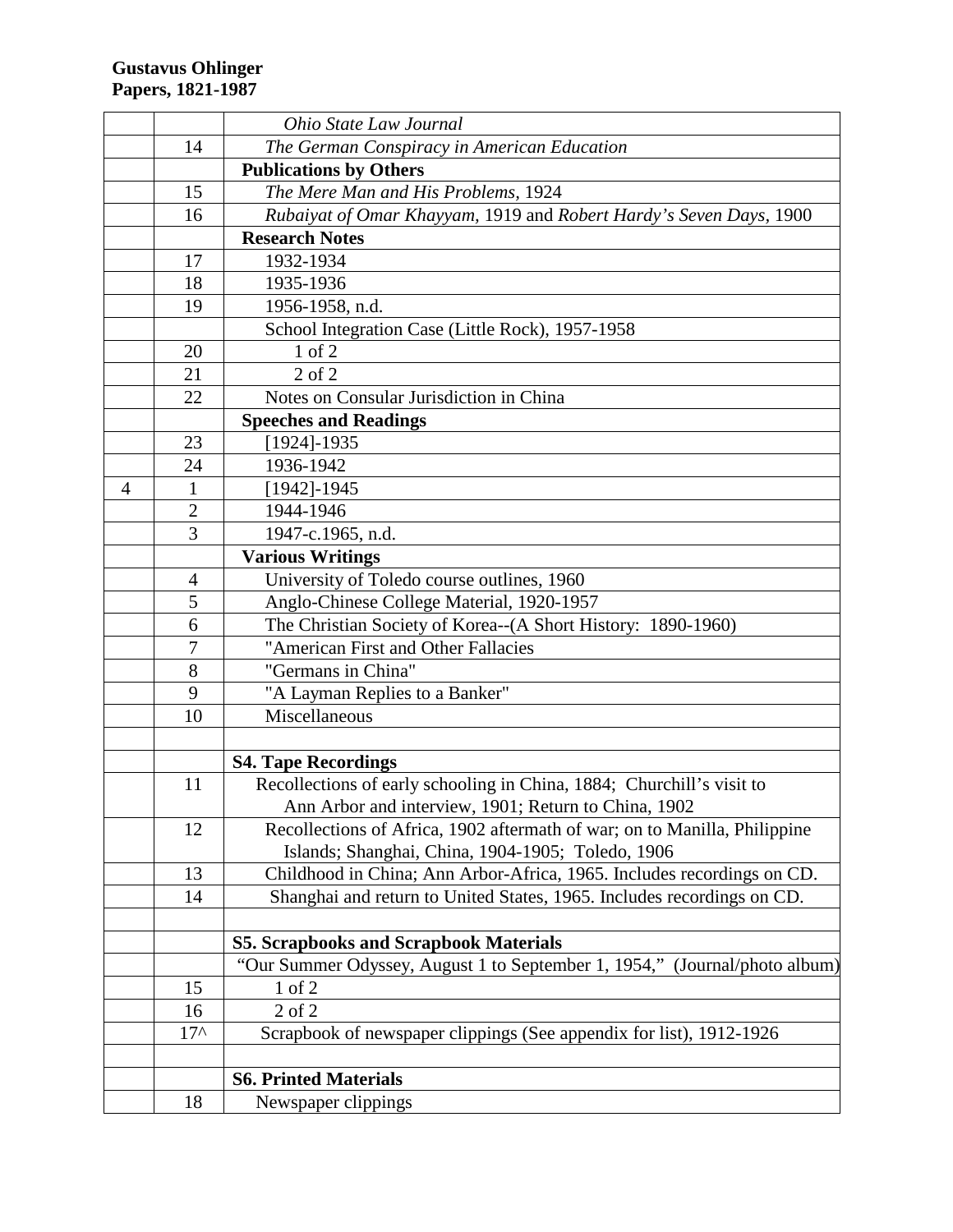|   |                | Ohio State Law Journal                                                     |
|---|----------------|----------------------------------------------------------------------------|
|   | 14             | The German Conspiracy in American Education                                |
|   |                | <b>Publications by Others</b>                                              |
|   | 15             | The Mere Man and His Problems, 1924                                        |
|   | 16             | Rubaiyat of Omar Khayyam, 1919 and Robert Hardy's Seven Days, 1900         |
|   |                | <b>Research Notes</b>                                                      |
|   | 17             | 1932-1934                                                                  |
|   | 18             | 1935-1936                                                                  |
|   | 19             | 1956-1958, n.d.                                                            |
|   |                | School Integration Case (Little Rock), 1957-1958                           |
|   | 20             | 1 of 2                                                                     |
|   | 21             | $2$ of $2$                                                                 |
|   | 22             | Notes on Consular Jurisdiction in China                                    |
|   |                | <b>Speeches and Readings</b>                                               |
|   | 23             | $[1924] - 1935$                                                            |
|   | 24             | 1936-1942                                                                  |
| 4 | $\mathbf{1}$   | $[1942] - 1945$                                                            |
|   | $\overline{2}$ | 1944-1946                                                                  |
|   | 3              | 1947-c.1965, n.d.                                                          |
|   |                | <b>Various Writings</b>                                                    |
|   | 4              | University of Toledo course outlines, 1960                                 |
|   | 5              | Anglo-Chinese College Material, 1920-1957                                  |
|   | 6              | The Christian Society of Korea--(A Short History: 1890-1960)               |
|   | 7              | "American First and Other Fallacies                                        |
|   | 8              | "Germans in China"                                                         |
|   | 9              | "A Layman Replies to a Banker"                                             |
|   | 10             | Miscellaneous                                                              |
|   |                |                                                                            |
|   |                | <b>S4. Tape Recordings</b>                                                 |
|   | 11             | Recollections of early schooling in China, 1884; Churchill's visit to      |
|   |                | Ann Arbor and interview, 1901; Return to China, 1902                       |
|   | 12             | Recollections of Africa, 1902 aftermath of war; on to Manilla, Philippine  |
|   |                | Islands; Shanghai, China, 1904-1905; Toledo, 1906                          |
|   | 13             | Childhood in China; Ann Arbor-Africa, 1965. Includes recordings on CD.     |
|   | 14             | Shanghai and return to United States, 1965. Includes recordings on CD.     |
|   |                |                                                                            |
|   |                | <b>S5. Scrapbooks and Scrapbook Materials</b>                              |
|   |                | "Our Summer Odyssey, August 1 to September 1, 1954," (Journal/photo album) |
|   | 15             | 1 of 2                                                                     |
|   | 16             | $2$ of $2$                                                                 |
|   | $17^$          | Scrapbook of newspaper clippings (See appendix for list), 1912-1926        |
|   |                |                                                                            |
|   |                | <b>S6. Printed Materials</b>                                               |
|   | 18             | Newspaper clippings                                                        |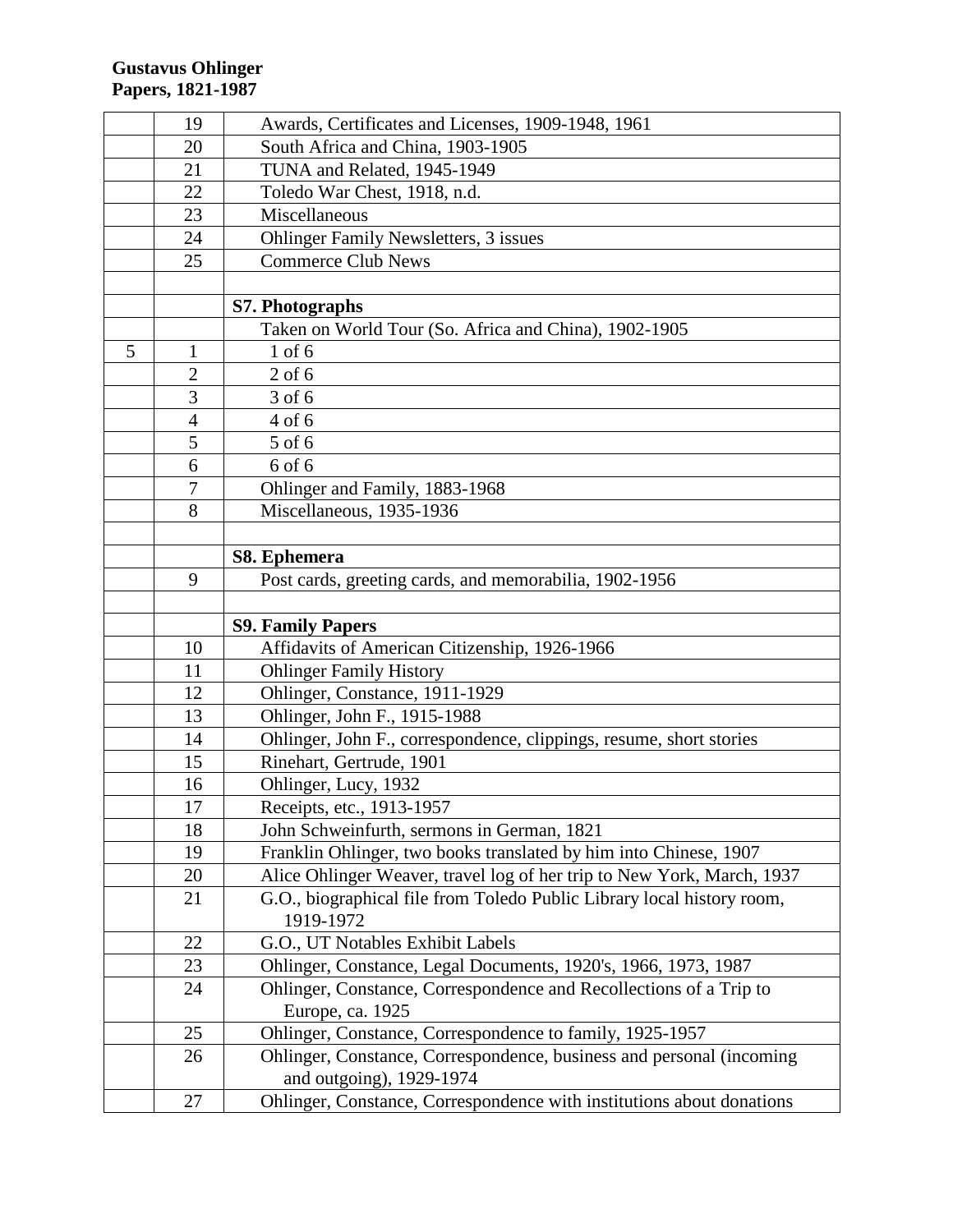|   | 19             | Awards, Certificates and Licenses, 1909-1948, 1961                                                |
|---|----------------|---------------------------------------------------------------------------------------------------|
|   | 20             | South Africa and China, 1903-1905                                                                 |
|   | 21             | TUNA and Related, 1945-1949                                                                       |
|   | 22             | Toledo War Chest, 1918, n.d.                                                                      |
|   | 23             | Miscellaneous                                                                                     |
|   | 24             | <b>Ohlinger Family Newsletters, 3 issues</b>                                                      |
|   | 25             | <b>Commerce Club News</b>                                                                         |
|   |                |                                                                                                   |
|   |                | S7. Photographs                                                                                   |
|   |                | Taken on World Tour (So. Africa and China), 1902-1905                                             |
| 5 | $\mathbf{1}$   | $1$ of $6$                                                                                        |
|   | $\overline{2}$ | $2$ of 6                                                                                          |
|   | $\overline{3}$ | 3 of 6                                                                                            |
|   | $\overline{4}$ | 4 of 6                                                                                            |
|   | 5              | 5 of 6                                                                                            |
|   | 6              | 6 of 6                                                                                            |
|   | $\overline{7}$ | Ohlinger and Family, 1883-1968                                                                    |
|   | 8              | Miscellaneous, 1935-1936                                                                          |
|   |                |                                                                                                   |
|   |                | S8. Ephemera                                                                                      |
|   | 9              | Post cards, greeting cards, and memorabilia, 1902-1956                                            |
|   |                |                                                                                                   |
|   |                |                                                                                                   |
|   |                | <b>S9. Family Papers</b>                                                                          |
|   | 10             | Affidavits of American Citizenship, 1926-1966                                                     |
|   | 11             | <b>Ohlinger Family History</b>                                                                    |
|   | 12             | Ohlinger, Constance, 1911-1929                                                                    |
|   | 13             | Ohlinger, John F., 1915-1988                                                                      |
|   | 14             | Ohlinger, John F., correspondence, clippings, resume, short stories                               |
|   | 15             | Rinehart, Gertrude, 1901                                                                          |
|   | 16             | Ohlinger, Lucy, 1932                                                                              |
|   | 17             | Receipts, etc., 1913-1957                                                                         |
|   | 18             | John Schweinfurth, sermons in German, 1821                                                        |
|   | 19             | Franklin Ohlinger, two books translated by him into Chinese, 1907                                 |
|   | 20             | Alice Ohlinger Weaver, travel log of her trip to New York, March, 1937                            |
|   | 21             | G.O., biographical file from Toledo Public Library local history room,                            |
|   |                | 1919-1972                                                                                         |
|   | 22             | G.O., UT Notables Exhibit Labels                                                                  |
|   | 23             | Ohlinger, Constance, Legal Documents, 1920's, 1966, 1973, 1987                                    |
|   | 24             | Ohlinger, Constance, Correspondence and Recollections of a Trip to                                |
|   |                | Europe, ca. 1925                                                                                  |
|   | 25             | Ohlinger, Constance, Correspondence to family, 1925-1957                                          |
|   | 26             | Ohlinger, Constance, Correspondence, business and personal (incoming                              |
|   | 27             | and outgoing), 1929-1974<br>Ohlinger, Constance, Correspondence with institutions about donations |